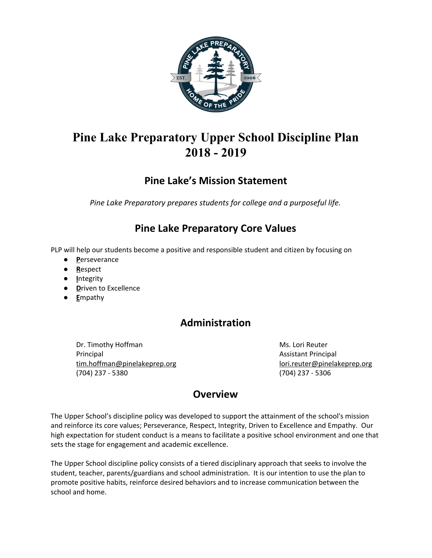

# **Pine Lake Preparatory Upper School Discipline Plan 2018 - 2019**

## **Pine Lake's Mission Statement**

*Pine Lake Preparatory prepares students for college and a purposeful life.*

## **Pine Lake Preparatory Core Values**

PLP will help our students become a positive and responsible student and citizen by focusing on

- **P**erseverance
- **R**espect
- **I**ntegrity
- **D**riven to Excellence
- **E**mpathy

## **Administration**

Dr. Timothy Hoffman Ms. Lori Reuter Principal Assistant Principal [tim.hoffman@pinelakeprep.org](mailto:tim.hoffman@pinelakeprep.org) down and [lori.reuter@pinelakeprep.org](mailto:lori.reuter@pinelakeprep.org) (704) 237 - 5380 (704) 237 - 5306

## **Overview**

The Upper School's discipline policy was developed to support the attainment of the school's mission and reinforce its core values; Perseverance, Respect, Integrity, Driven to Excellence and Empathy. Our high expectation for student conduct is a means to facilitate a positive school environment and one that sets the stage for engagement and academic excellence.

The Upper School discipline policy consists of a tiered disciplinary approach that seeks to involve the student, teacher, parents/guardians and school administration. It is our intention to use the plan to promote positive habits, reinforce desired behaviors and to increase communication between the school and home.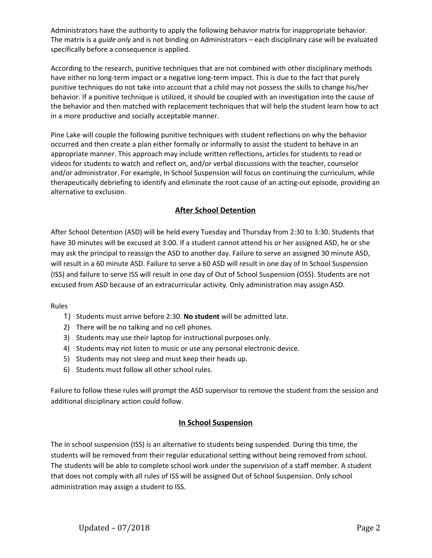Administrators have the authority to apply the following behavior matrix for inappropriate behavior. The matrix is a *guide only* and is not binding on Administrators – each disciplinary case will be evaluated specifically before a consequence is applied.

[According](http://www.nasponline.org/publications/booksproducts/hchs3_samples/s4h18_discipline.pdf) to the research, punitive techniques that are not combined with other disciplinary methods have either no long-term impact or a negative long-term impact. This is due to the fact that purely punitive techniques do not take into account that a child may not possess the skills to change his/her behavior. If a punitive technique is utilized, it should be coupled with an investigation into the cause of the behavior and then matched with replacement techniques that will help the student learn how to act in a more productive and socially acceptable manner.

Pine Lake will couple the following punitive techniques with student reflections on why the behavior occurred and then create a plan either formally or informally to assist the student to behave in an appropriate manner. This approach may include written reflections, articles for students to read or videos for students to watch and reflect on, and/or verbal discussions with the teacher, counselor and/or administrator. For example, In School Suspension will focus on continuing the curriculum, while therapeutically debriefing to identify and eliminate the root cause of an acting-out episode, providing an alternative to exclusion.

## **After School Detention**

After School Detention (ASD) will be held every Tuesday and Thursday from 2:30 to 3:30. Students that have 30 minutes will be excused at 3:00. If a student cannot attend his or her assigned ASD, he or she may ask the principal to reassign the ASD to another day. Failure to serve an assigned 30 minute ASD, will result in a 60 minute ASD. Failure to serve a 60 ASD will result in one day of In School Suspension (ISS) and failure to serve ISS will result in one day of Out of School Suspension (OSS). Students are not excused from ASD because of an extracurricular activity. Only administration may assign ASD.

Rules

- 1) Students must arrive before 2:30. **No student** will be admitted late.
- 2) There will be no talking and no cell phones.
- 3) Students may use their laptop for instructional purposes only.
- 4) Students may not listen to music or use any personal electronic device.
- 5) Students may not sleep and must keep their heads up.
- 6) Students must follow all other school rules.

Failure to follow these rules will prompt the ASD supervisor to remove the student from the session and additional disciplinary action could follow.

## **In School Suspension**

The in school suspension (ISS) is an alternative to students being suspended. During this time, the students will be removed from their regular educational setting without being removed from school. The students will be able to complete school work under the supervision of a staff member. A student that does not comply with all rules of ISS will be assigned Out of School Suspension. Only school administration may assign a student to ISS.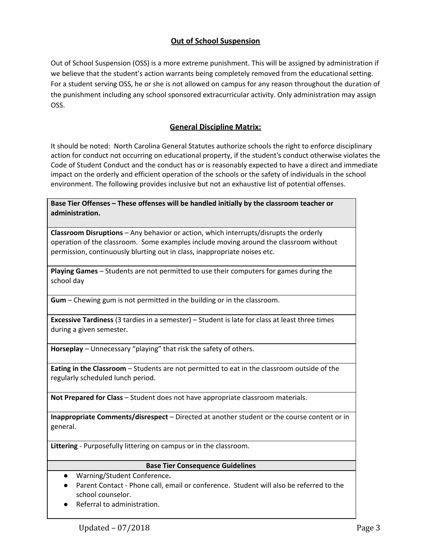## **Out of School Suspension**

Out of School Suspension (OSS) is a more extreme punishment. This will be assigned by administration if we believe that the student's action warrants being completely removed from the educational setting. For a student serving OSS, he or she is not allowed on campus for any reason throughout the duration of the punishment including any school sponsored extracurricular activity. Only administration may assign OSS.

## **General Discipline Matrix:**

It should be noted: North Carolina General Statutes authorize schools the right to enforce disciplinary action for conduct not occurring on educational property, if the student's conduct otherwise violates the Code of Student Conduct and the conduct has or is reasonably expected to have a direct and immediate impact on the orderly and efficient operation of the schools or the safety of individuals in the school environment. The following provides inclusive but not an exhaustive list of potential offenses.

**Base Tier Offenses – These offenses will be handled initially by the classroom teacher or administration.**

**Classroom Disruptions** – Any behavior or action, which interrupts/disrupts the orderly operation of the classroom. Some examples include moving around the classroom without permission, continuously blurting out in class, inappropriate noises etc.

**Playing Games** – Students are not permitted to use their computers for games during the school day

**Gum** – Chewing gum is not permitted in the building or in the classroom.

**Excessive Tardiness** (3 tardies in a semester) – Student is late for class at least three times during a given semester.

**Horseplay** – Unnecessary "playing" that risk the safety of others.

**Eating in the Classroom** – Students are not permitted to eat in the classroom outside of the regularly scheduled lunch period.

**Not Prepared for Class** – Student does not have appropriate classroom materials.

**Inappropriate Comments/disrespect** – Directed at another student or the course content or in general.

**Littering** - Purposefully littering on campus or in the classroom.

#### **Base Tier Consequence Guidelines**

- **●** Warning/Student Conference**.**
- Parent Contact Phone call, email or conference. Student will also be referred to the school counselor.
- **●** Referral to administration.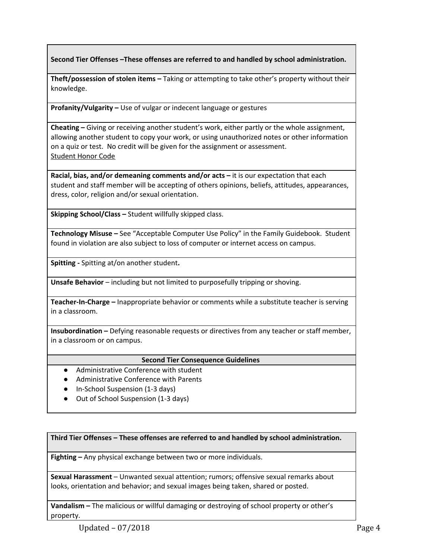**Second Tier Offenses –These offenses are referred to and handled by school administration.**

**Theft/possession of stolen items –** Taking or attempting to take other's property without their knowledge.

**Profanity/Vulgarity –** Use of vulgar or indecent language or gestures

**Cheating –** Giving or receiving another student's work, either partly or the whole assignment, allowing another student to copy your work, or using unauthorized notes or other information on a quiz or test. No credit will be given for the assignment or assessment. [Student](http://../I%20pledge%20to%20support%20the%20Honor%20Code%20of%20Pine%20Lake%20Preparatory.docx) Honor Code

**Racial, bias, and/or demeaning comments and/or acts –** it is our expectation that each student and staff member will be accepting of others opinions, beliefs, attitudes, appearances, dress, color, religion and/or sexual orientation.

**Skipping School/Class –** Student willfully skipped class.

**Technology Misuse –** See "Acceptable Computer Use Policy" in the Family Guidebook. Student found in violation are also subject to loss of computer or internet access on campus.

**Spitting -** Spitting at/on another student**.**

**Unsafe Behavior** – including but not limited to purposefully tripping or shoving.

**Teacher-In-Charge –** Inappropriate behavior or comments while a substitute teacher is serving in a classroom.

**Insubordination –** Defying reasonable requests or directives from any teacher or staff member, in a classroom or on campus.

#### **Second Tier Consequence Guidelines**

- Administrative Conference with student
- Administrative Conference with Parents
- In-School Suspension (1-3 days)
- Out of School Suspension (1-3 days)

**Third Tier Offenses – These offenses are referred to and handled by school administration.**

**Fighting –** Any physical exchange between two or more individuals.

**Sexual Harassment** – Unwanted sexual attention; rumors; offensive sexual remarks about looks, orientation and behavior; and sexual images being taken, shared or posted.

**Vandalism –** The malicious or willful damaging or destroying of school property or other's property.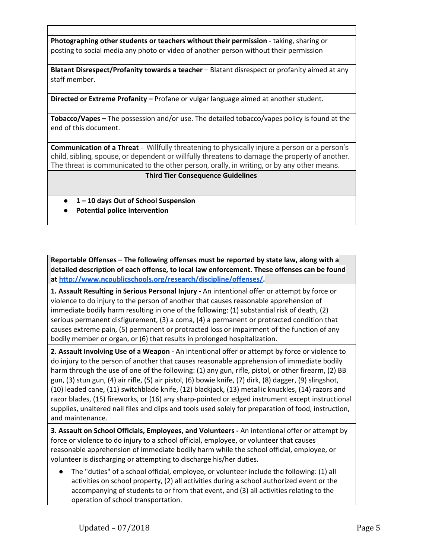**Photographing other students or teachers without their permission** - taking, sharing or posting to social media any photo or video of another person without their permission

**Blatant Disrespect/Profanity towards a teacher** – Blatant disrespect or profanity aimed at any staff member.

**Directed or Extreme Profanity –** Profane or vulgar language aimed at another student.

**Tobacco/Vapes –** The possession and/or use. The detailed tobacco/vapes policy is found at the end of this document.

**Communication of a Threat** - Willfully threatening to physically injure a person or a person's child, sibling, spouse, or dependent or willfully threatens to damage the property of another. The threat is communicated to the other person, orally, in writing, or by any other means.

#### **Third Tier Consequence Guidelines**

- **● 1 – 10 days Out of School Suspension**
- **● Potential police intervention**

**Reportable Offenses – The following offenses must be reported by state law, along with a detailed description of each offense, to local law enforcement. These offenses can be found at [http://www.ncpublicschools.org/research/discipline/offenses/.](http://www.ncpublicschools.org/research/discipline/offenses/)**

**1. Assault Resulting in Serious Personal Injury -** An intentional offer or attempt by force or violence to do injury to the person of another that causes reasonable apprehension of immediate bodily harm resulting in one of the following: (1) substantial risk of death, (2) serious permanent disfigurement, (3) a coma, (4) a permanent or protracted condition that causes extreme pain, (5) permanent or protracted loss or impairment of the function of any bodily member or organ, or (6) that results in prolonged hospitalization.

**2. Assault Involving Use of a Weapon -** An intentional offer or attempt by force or violence to do injury to the person of another that causes reasonable apprehension of immediate bodily harm through the use of one of the following: (1) any gun, rifle, pistol, or other firearm, (2) BB gun, (3) stun gun, (4) air rifle, (5) air pistol, (6) bowie knife, (7) dirk, (8) dagger, (9) slingshot, (10) leaded cane, (11) switchblade knife, (12) blackjack, (13) metallic knuckles, (14) razors and razor blades, (15) fireworks, or (16) any sharp-pointed or edged instrument except instructional supplies, unaltered nail files and clips and tools used solely for preparation of food, instruction, and maintenance.

**3. Assault on School Officials, Employees, and Volunteers -** An intentional offer or attempt by force or violence to do injury to a school official, employee, or volunteer that causes reasonable apprehension of immediate bodily harm while the school official, employee, or volunteer is discharging or attempting to discharge his/her duties.

● The "duties" of a school official, employee, or volunteer include the following: (1) all activities on school property, (2) all activities during a school authorized event or the accompanying of students to or from that event, and (3) all activities relating to the operation of school transportation.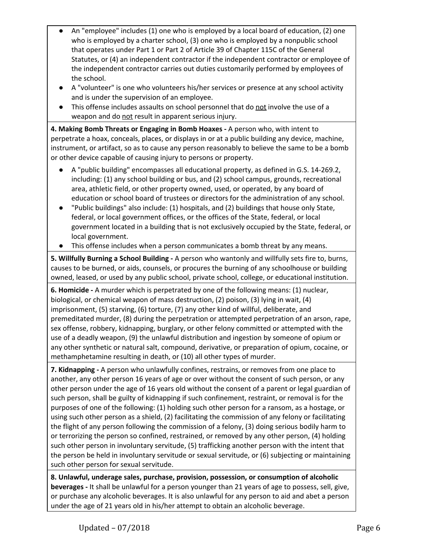- An "employee" includes (1) one who is employed by a local board of education, (2) one who is employed by a charter school, (3) one who is employed by a nonpublic school that operates under Part 1 or Part 2 of Article 39 of Chapter 115C of the General Statutes, or (4) an independent contractor if the independent contractor or employee of the independent contractor carries out duties customarily performed by employees of the school.
- A "volunteer" is one who volunteers his/her services or presence at any school activity and is under the supervision of an employee.
- This offense includes assaults on school personnel that do not involve the use of a weapon and do not result in apparent serious injury.

**4. Making Bomb Threats or Engaging in Bomb Hoaxes -** A person who, with intent to perpetrate a hoax, conceals, places, or displays in or at a public building any device, machine, instrument, or artifact, so as to cause any person reasonably to believe the same to be a bomb or other device capable of causing injury to persons or property.

- A "public building" encompasses all educational property, as defined in G.S. 14-269.2, including: (1) any school building or bus, and (2) school campus, grounds, recreational area, athletic field, or other property owned, used, or operated, by any board of education or school board of trustees or directors for the administration of any school.
- "Public buildings" also include: (1) hospitals, and (2) buildings that house only State, federal, or local government offices, or the offices of the State, federal, or local government located in a building that is not exclusively occupied by the State, federal, or local government.
- This offense includes when a person communicates a bomb threat by any means.

**5. Willfully Burning a School Building -** A person who wantonly and willfully sets fire to, burns, causes to be burned, or aids, counsels, or procures the burning of any schoolhouse or building owned, leased, or used by any public school, private school, college, or educational institution.

**6. Homicide -** A murder which is perpetrated by one of the following means: (1) nuclear, biological, or chemical weapon of mass destruction, (2) poison, (3) lying in wait, (4) imprisonment, (5) starving, (6) torture, (7) any other kind of willful, deliberate, and premeditated murder, (8) during the perpetration or attempted perpetration of an arson, rape, sex offense, robbery, kidnapping, burglary, or other felony committed or attempted with the use of a deadly weapon, (9) the unlawful distribution and ingestion by someone of opium or any other synthetic or natural salt, compound, derivative, or preparation of opium, cocaine, or methamphetamine resulting in death, or (10) all other types of murder.

**7. Kidnapping -** A person who unlawfully confines, restrains, or removes from one place to another, any other person 16 years of age or over without the consent of such person, or any other person under the age of 16 years old without the consent of a parent or legal guardian of such person, shall be guilty of kidnapping if such confinement, restraint, or removal is for the purposes of one of the following: (1) holding such other person for a ransom, as a hostage, or using such other person as a shield, (2) facilitating the commission of any felony or facilitating the flight of any person following the commission of a felony, (3) doing serious bodily harm to or terrorizing the person so confined, restrained, or removed by any other person, (4) holding such other person in involuntary servitude, (5) trafficking another person with the intent that the person be held in involuntary servitude or sexual servitude, or (6) subjecting or maintaining such other person for sexual servitude.

**8. Unlawful, underage sales, purchase, provision, possession, or consumption of alcoholic beverages -** It shall be unlawful for a person younger than 21 years of age to possess, sell, give, or purchase any alcoholic beverages. It is also unlawful for any person to aid and abet a person under the age of 21 years old in his/her attempt to obtain an alcoholic beverage.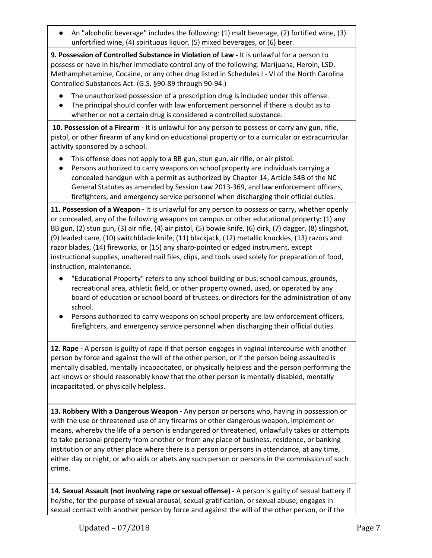**●** An "alcoholic beverage" includes the following: (1) malt beverage, (2) fortified wine, (3) unfortified wine, (4) spirituous liquor, (5) mixed beverages, or (6) beer.

**9. Possession of Controlled Substance in Violation of Law -** It is unlawful for a person to possess or have in his/her immediate control any of the following: Marijuana, Heroin, LSD, Methamphetamine, Cocaine, or any other drug listed in Schedules I - VI of the North Carolina Controlled Substances Act. (G.S. §90-89 through 90-94.)

- The unauthorized possession of a prescription drug is included under this offense.
- The principal should confer with law enforcement personnel if there is doubt as to whether or not a certain drug is considered a controlled substance.

**10. Possession of a Firearm -** It is unlawful for any person to possess or carry any gun, rifle, pistol, or other firearm of any kind on educational property or to a curricular or extracurricular activity sponsored by a school.

- This offense does not apply to a BB gun, stun gun, air rifle, or air pistol.
- Persons authorized to carry weapons on school property are individuals carrying a concealed handgun with a permit as authorized by Chapter 14, Article 54B of the NC General Statutes as amended by Session Law 2013-369, and law enforcement officers, firefighters, and emergency service personnel when discharging their official duties.

**11. Possession of a Weapon -** It is unlawful for any person to possess or carry, whether openly or concealed, any of the following weapons on campus or other educational property: (1) any BB gun, (2) stun gun, (3) air rifle, (4) air pistol, (5) bowie knife, (6) dirk, (7) dagger, (8) slingshot, (9) leaded cane, (10) switchblade knife, (11) blackjack, (12) metallic knuckles, (13) razors and razor blades, (14) fireworks, or (15) any sharp-pointed or edged instrument, except instructional supplies, unaltered nail files, clips, and tools used solely for preparation of food, instruction, maintenance.

- "Educational Property" refers to any school building or bus, school campus, grounds, recreational area, athletic field, or other property owned, used, or operated by any board of education or school board of trustees, or directors for the administration of any school.
- Persons authorized to carry weapons on school property are law enforcement officers, firefighters, and emergency service personnel when discharging their official duties.

**12. Rape -** A person is guilty of rape if that person engages in vaginal intercourse with another person by force and against the will of the other person, or if the person being assaulted is mentally disabled, mentally incapacitated, or physically helpless and the person performing the act knows or should reasonably know that the other person is mentally disabled, mentally incapacitated, or physically helpless.

**13. Robbery With a Dangerous Weapon -** Any person or persons who, having in possession or with the use or threatened use of any firearms or other dangerous weapon, implement or means, whereby the life of a person is endangered or threatened, unlawfully takes or attempts to take personal property from another or from any place of business, residence, or banking institution or any other place where there is a person or persons in attendance, at any time, either day or night, or who aids or abets any such person or persons in the commission of such crime.

**14. Sexual Assault (not involving rape or sexual offense) -** A person is guilty of sexual battery if he/she, for the purpose of sexual arousal, sexual gratification, or sexual abuse, engages in sexual contact with another person by force and against the will of the other person, or if the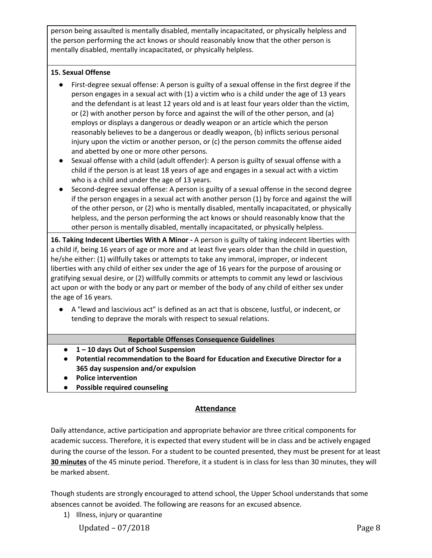person being assaulted is mentally disabled, mentally incapacitated, or physically helpless and the person performing the act knows or should reasonably know that the other person is mentally disabled, mentally incapacitated, or physically helpless.

#### **15. Sexual Offense**

- First-degree sexual offense: A person is guilty of a sexual offense in the first degree if the person engages in a sexual act with (1) a victim who is a child under the age of 13 years and the defendant is at least 12 years old and is at least four years older than the victim, or (2) with another person by force and against the will of the other person, and (a) employs or displays a dangerous or deadly weapon or an article which the person reasonably believes to be a dangerous or deadly weapon, (b) inflicts serious personal injury upon the victim or another person, or (c) the person commits the offense aided and abetted by one or more other persons.
- Sexual offense with a child (adult offender): A person is guilty of sexual offense with a child if the person is at least 18 years of age and engages in a sexual act with a victim who is a child and under the age of 13 years.
- Second-degree sexual offense: A person is guilty of a sexual offense in the second degree if the person engages in a sexual act with another person (1) by force and against the will of the other person, or (2) who is mentally disabled, mentally incapacitated, or physically helpless, and the person performing the act knows or should reasonably know that the other person is mentally disabled, mentally incapacitated, or physically helpless.

**16. Taking Indecent Liberties With A Minor -** A person is guilty of taking indecent liberties with a child if, being 16 years of age or more and at least five years older than the child in question, he/she either: (1) willfully takes or attempts to take any immoral, improper, or indecent liberties with any child of either sex under the age of 16 years for the purpose of arousing or gratifying sexual desire, or (2) willfully commits or attempts to commit any lewd or lascivious act upon or with the body or any part or member of the body of any child of either sex under the age of 16 years.

● A "lewd and lascivious act" is defined as an act that is obscene, lustful, or indecent, or tending to deprave the morals with respect to sexual relations.

## **Reportable Offenses Consequence Guidelines**

- **● 1 – 10 days Out of School Suspension**
- **● Potential recommendation to the Board for Education and Executive Director for a 365 day suspension and/or expulsion**
- **● Police intervention**
- **● Possible required counseling**

## **Attendance**

Daily attendance, active participation and appropriate behavior are three critical components for academic success. Therefore, it is expected that every student will be in class and be actively engaged during the course of the lesson. For a student to be counted presented, they must be present for at least **30 minutes** of the 45 minute period. Therefore, it a student is in class for less than 30 minutes, they will be marked absent.

Though students are strongly encouraged to attend school, the Upper School understands that some absences cannot be avoided. The following are reasons for an excused absence.

1) Illness, injury or quarantine

Updated – 07/2018 Page 8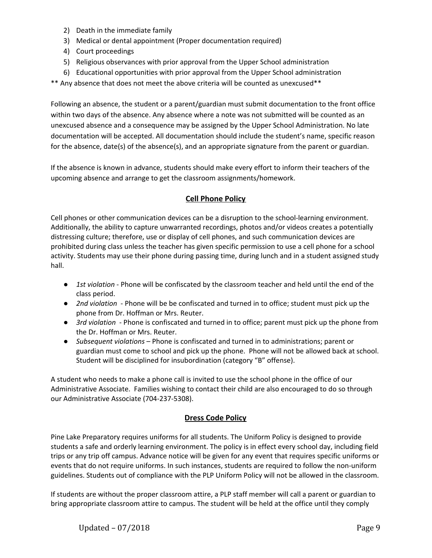- 2) Death in the immediate family
- 3) Medical or dental appointment (Proper documentation required)
- 4) Court proceedings
- 5) Religious observances with prior approval from the Upper School administration
- 6) Educational opportunities with prior approval from the Upper School administration
- \*\* Any absence that does not meet the above criteria will be counted as unexcused\*\*

Following an absence, the student or a parent/guardian must submit documentation to the front office within two days of the absence. Any absence where a note was not submitted will be counted as an unexcused absence and a consequence may be assigned by the Upper School Administration. No late documentation will be accepted. All documentation should include the student's name, specific reason for the absence, date(s) of the absence(s), and an appropriate signature from the parent or guardian.

If the absence is known in advance, students should make every effort to inform their teachers of the upcoming absence and arrange to get the classroom assignments/homework.

#### **Cell Phone Policy**

Cell phones or other communication devices can be a disruption to the school-learning environment. Additionally, the ability to capture unwarranted recordings, photos and/or videos creates a potentially distressing culture; therefore, use or display of cell phones, and such communication devices are prohibited during class unless the teacher has given specific permission to use a cell phone for a school activity. Students may use their phone during passing time, during lunch and in a student assigned study hall.

- *1st violation* Phone will be confiscated by the classroom teacher and held until the end of the class period.
- *2nd violation* Phone will be be confiscated and turned in to office; student must pick up the phone from Dr. Hoffman or Mrs. Reuter.
- *3rd violation* Phone is confiscated and turned in to office; parent must pick up the phone from the Dr. Hoffman or Mrs. Reuter.
- *Subsequent violations* Phone is confiscated and turned in to administrations; parent or guardian must come to school and pick up the phone. Phone will not be allowed back at school. Student will be disciplined for insubordination (category "B" offense).

A student who needs to make a phone call is invited to use the school phone in the office of our Administrative Associate. Families wishing to contact their child are also encouraged to do so through our Administrative Associate (704-237-5308).

#### **Dress Code Policy**

Pine Lake Preparatory requires uniforms for all students. The Uniform Policy is designed to provide students a safe and orderly learning environment. The policy is in effect every school day, including field trips or any trip off campus. Advance notice will be given for any event that requires specific uniforms or events that do not require uniforms. In such instances, students are required to follow the non-uniform guidelines. Students out of compliance with the PLP Uniform Policy will not be allowed in the classroom.

If students are without the proper classroom attire, a PLP staff member will call a parent or guardian to bring appropriate classroom attire to campus. The student will be held at the office until they comply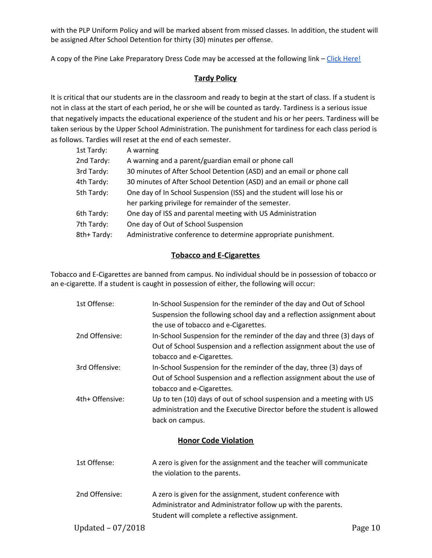with the PLP Uniform Policy and will be marked absent from missed classes. In addition, the student will be assigned After School Detention for thirty (30) minutes per offense.

A copy of the Pine Lake Preparatory Dress Code may be accessed at the following link - Click [Here!](http://www.pinelakeprep.org/UserFiles/Servers/Server_7664/File/Uniform%20Policy%20-%20August%201,%202018.pdf)

### **Tardy Policy**

It is critical that our students are in the classroom and ready to begin at the start of class. If a student is not in class at the start of each period, he or she will be counted as tardy. Tardiness is a serious issue that negatively impacts the educational experience of the student and his or her peers. Tardiness will be taken serious by the Upper School Administration. The punishment for tardiness for each class period is as follows. Tardies will reset at the end of each semester.

| 1st Tardy: | A warning                                                              |
|------------|------------------------------------------------------------------------|
| 2nd Tardy: | A warning and a parent/guardian email or phone call                    |
| 3rd Tardy: | 30 minutes of After School Detention (ASD) and an email or phone call  |
| 4th Tardy: | 30 minutes of After School Detention (ASD) and an email or phone call  |
| 5th Tardy: | One day of In School Suspension (ISS) and the student will lose his or |
|            | her parking privilege for remainder of the semester.                   |
| 6th Tardy: | One day of ISS and parental meeting with US Administration             |
| 7th Tardy: | One day of Out of School Suspension                                    |
| 8th+Tardy: | Administrative conference to determine appropriate punishment.         |

## **Tobacco and E-Cigarettes**

Tobacco and E-Cigarettes are banned from campus. No individual should be in possession of tobacco or an e-cigarette. If a student is caught in possession of either, the following will occur:

| 1st Offense:                                              | In-School Suspension for the reminder of the day and Out of School      |  |
|-----------------------------------------------------------|-------------------------------------------------------------------------|--|
|                                                           | Suspension the following school day and a reflection assignment about   |  |
|                                                           | the use of tobacco and e-Cigarettes.                                    |  |
| 2nd Offensive:                                            | In-School Suspension for the reminder of the day and three (3) days of  |  |
|                                                           | Out of School Suspension and a reflection assignment about the use of   |  |
|                                                           | tobacco and e-Cigarettes.                                               |  |
| 3rd Offensive:                                            | In-School Suspension for the reminder of the day, three (3) days of     |  |
|                                                           | Out of School Suspension and a reflection assignment about the use of   |  |
|                                                           | tobacco and e-Cigarettes.                                               |  |
| 4th+ Offensive:                                           | Up to ten (10) days of out of school suspension and a meeting with US   |  |
|                                                           | administration and the Executive Director before the student is allowed |  |
|                                                           | back on campus.                                                         |  |
|                                                           | <b>Honor Code Violation</b>                                             |  |
| 1st Offense:                                              | A zero is given for the assignment and the teacher will communicate     |  |
|                                                           | the violation to the parents.                                           |  |
|                                                           |                                                                         |  |
| 2nd Offensive:                                            | A zero is given for the assignment, student conference with             |  |
|                                                           | Administrator and Administrator follow up with the parents.             |  |
|                                                           | Student will complete a reflective assignment.                          |  |
| $\mathbf{u}$ , $\mathbf{v}$ , $\mathbf{v}$ , $\mathbf{v}$ | $\sim$                                                                  |  |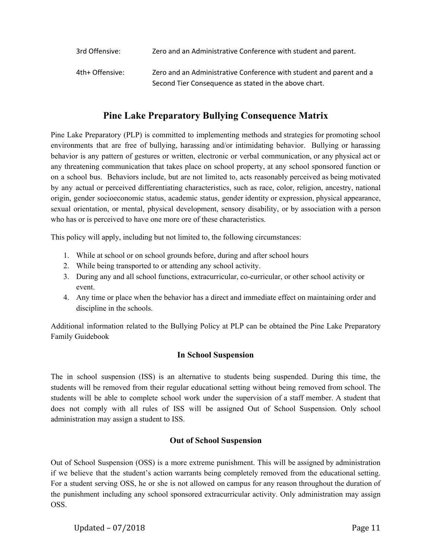| 3rd Offensive:  | Zero and an Administrative Conference with student and parent.      |
|-----------------|---------------------------------------------------------------------|
| 4th+ Offensive: | Zero and an Administrative Conference with student and parent and a |
|                 | Second Tier Consequence as stated in the above chart.               |

## **Pine Lake Preparatory Bullying Consequence Matrix**

Pine Lake Preparatory (PLP) is committed to implementing methods and strategies for promoting school environments that are free of bullying, harassing and/or intimidating behavior. Bullying or harassing behavior is any pattern of gestures or written, electronic or verbal communication, or any physical act or any threatening communication that takes place on school property, at any school sponsored function or on a school bus. Behaviors include, but are not limited to, acts reasonably perceived as being motivated by any actual or perceived differentiating characteristics, such as race, color, religion, ancestry, national origin, gender socioeconomic status, academic status, gender identity or expression, physical appearance, sexual orientation, or mental, physical development, sensory disability, or by association with a person who has or is perceived to have one more ore of these characteristics.

This policy will apply, including but not limited to, the following circumstances:

- 1. While at school or on school grounds before, during and after school hours
- 2. While being transported to or attending any school activity.
- 3. During any and all school functions, extracurricular, co-curricular, or other school activity or event.
- 4. Any time or place when the behavior has a direct and immediate effect on maintaining order and discipline in the schools.

Additional information related to the Bullying Policy at PLP can be obtained the Pine Lake Preparatory Family Guidebook

## **In School Suspension**

The in school suspension (ISS) is an alternative to students being suspended. During this time, the students will be removed from their regular educational setting without being removed from school. The students will be able to complete school work under the supervision of a staff member. A student that does not comply with all rules of ISS will be assigned Out of School Suspension. Only school administration may assign a student to ISS.

## **Out of School Suspension**

Out of School Suspension (OSS) is a more extreme punishment. This will be assigned by administration if we believe that the student's action warrants being completely removed from the educational setting. For a student serving OSS, he or she is not allowed on campus for any reason throughout the duration of the punishment including any school sponsored extracurricular activity. Only administration may assign OSS.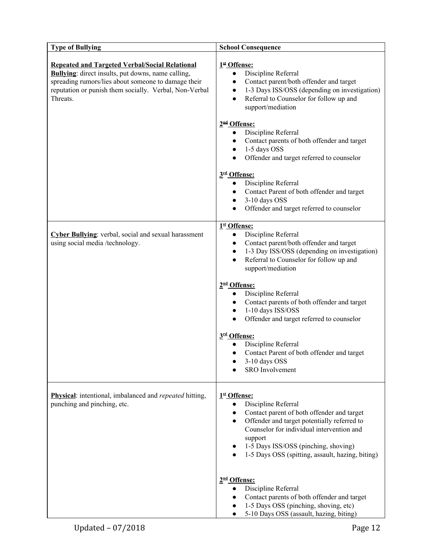| <b>Type of Bullying</b>                                                                                                                                                                                                                         | <b>School Consequence</b>                                                                                                                                                                                                                                                            |
|-------------------------------------------------------------------------------------------------------------------------------------------------------------------------------------------------------------------------------------------------|--------------------------------------------------------------------------------------------------------------------------------------------------------------------------------------------------------------------------------------------------------------------------------------|
| <b>Repeated and Targeted Verbal/Social Relational</b><br><b>Bullying:</b> direct insults, put downs, name calling,<br>spreading rumors/lies about someone to damage their<br>reputation or punish them socially. Verbal, Non-Verbal<br>Threats. | 1st Offense:<br>Discipline Referral<br>$\bullet$<br>Contact parent/both offender and target<br>$\bullet$<br>1-3 Days ISS/OSS (depending on investigation)<br>$\bullet$<br>Referral to Counselor for follow up and<br>$\bullet$<br>support/mediation                                  |
|                                                                                                                                                                                                                                                 | 2 <sup>nd</sup> Offense:<br>Discipline Referral<br>$\bullet$<br>Contact parents of both offender and target<br>$\bullet$<br>1-5 days OSS<br>$\bullet$<br>Offender and target referred to counselor<br>$\bullet$                                                                      |
|                                                                                                                                                                                                                                                 | 3rd Offense:<br>Discipline Referral<br>$\bullet$<br>Contact Parent of both offender and target<br>$\bullet$<br>3-10 days OSS<br>$\bullet$<br>Offender and target referred to counselor<br>$\bullet$                                                                                  |
| Cyber Bullying: verbal, social and sexual harassment<br>using social media /technology.                                                                                                                                                         | 1st Offense:<br>Discipline Referral<br>$\bullet$<br>Contact parent/both offender and target<br>$\bullet$<br>1-3 Day ISS/OSS (depending on investigation)<br>$\bullet$<br>Referral to Counselor for follow up and<br>$\bullet$<br>support/mediation                                   |
|                                                                                                                                                                                                                                                 | 2 <sup>nd</sup> Offense:<br>Discipline Referral<br>$\bullet$<br>• Contact parents of both offender and target<br>1-10 days ISS/OSS<br>$\bullet$<br>Offender and target referred to counselor<br>$\bullet$                                                                            |
|                                                                                                                                                                                                                                                 | 3rd Offense:<br>Discipline Referral<br>Contact Parent of both offender and target<br>$\bullet$<br>3-10 days OSS<br>SRO Involvement                                                                                                                                                   |
| <b>Physical:</b> intentional, imbalanced and <i>repeated</i> hitting,<br>punching and pinching, etc.                                                                                                                                            | 1st Offense:<br>Discipline Referral<br>Contact parent of both offender and target<br>Offender and target potentially referred to<br>Counselor for individual intervention and<br>support<br>1-5 Days ISS/OSS (pinching, shoving)<br>1-5 Days OSS (spitting, assault, hazing, biting) |
|                                                                                                                                                                                                                                                 | 2 <sup>nd</sup> Offense:<br>Discipline Referral<br>Contact parents of both offender and target<br>1-5 Days OSS (pinching, shoving, etc)<br>5-10 Days OSS (assault, hazing, biting)                                                                                                   |